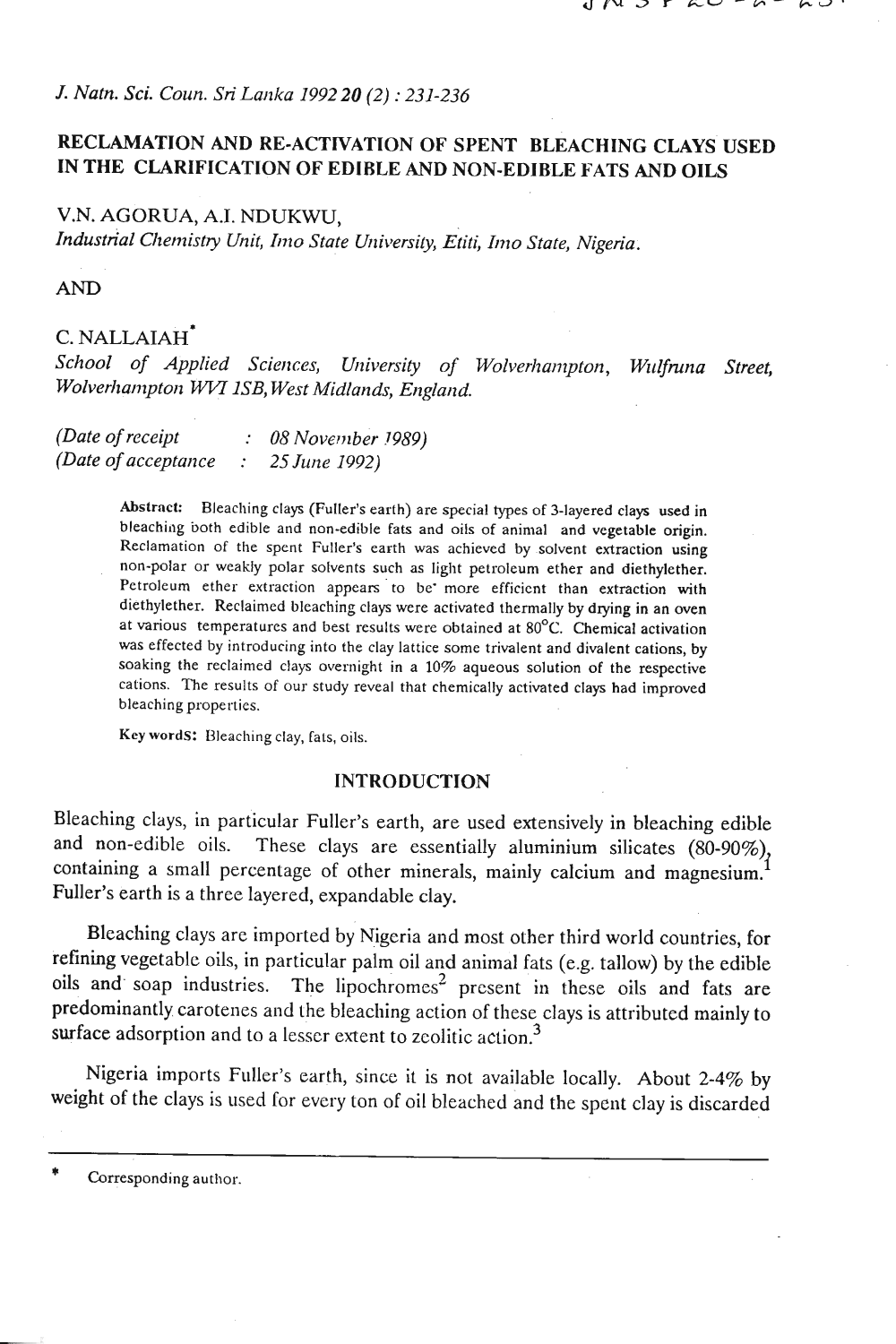## *J. Natn.* **Sci.** *Coun. Sri Larzka 1992 20 (2)* : *231-236*

## **RECLAMATION AND RE-ACTIVATION OF SPENT BLEACHING CLAYS USED IN THE CLARIFICATION OF EDIBLE AND NON-EDIBLE FATS AND OILS**

## V.N. AGORUA, A.I. NDUKWU,

*Industrial Cizetlzishy Unit, Itito State Urliversily,* **Etiti,** *11~10 Stale, Nigeria.* 

**AND** 

# C. NALLAIAH\*

School of Applied Sciences, University of Wolverhampton, Wulfruna Street, *Wolverhampton WVI 1SB, West Midlands, England.* 

| (Date of receipt)    | $: 08 November$ 1989) |
|----------------------|-----------------------|
| (Date of acceptance) | 25 June 1992)         |

**Abstract:** Bleaching clays (Fuller's earth) are special types of 3-layered clays used in bleachiag both edible and non-edible fats and oils of animal and vegetable origin. Reclamation OF the spent Fuller's earth **was** achieved by solvent extraction using non-polar or weakly polar solvents such as light petroleum ether and diethylether. Petroleum ether extraction appears to be more efficient than extraction with diethylether. Reclaimed bleaching clays were activated thermally by drying in an oven at various temperatures and best results were obtained at 80°C. Chemical activation was effected by introducing into the clay lattice some trivalent and divalent cations, by soaking the reclaimed clays overnight in a 10% aqueous solution of the respective cations. The results of our study reveal that chemically activated clays had improved bleaching properties.

Key words: Bleaching clay, fats, oils.

#### **INTRODUCTION**

Bleaching clays, in particular Fuller's earth, are used extensively in bleaching edible and non-edible oils. These clays are essentially aluminium silicates (80-90%) containing a small percentage of other minerals, mainly calcium and magnesium. **<sup>I</sup>** Fuller's earth is a three layered, expandable clay.

Bleaching clays are imported by Nigeria and most other third world countries, for refining vegetable oils, in particular palm oil and animal fats (e.g. tallow) by the edible oils and soap industries. The lipochromes<sup>2</sup> present in these oils and fats are predominantly carotenes and the bleaching action of these clays is attributed mainly to surface adsorption and to a lesser extent to zcolitic action. **<sup>3</sup>**

Nigeria imports Fuller's earth, since it is not available locally. About 2-4% by weight of the clays is used for every ton of oil bleached and the spent clay is discarded

Corresponding author.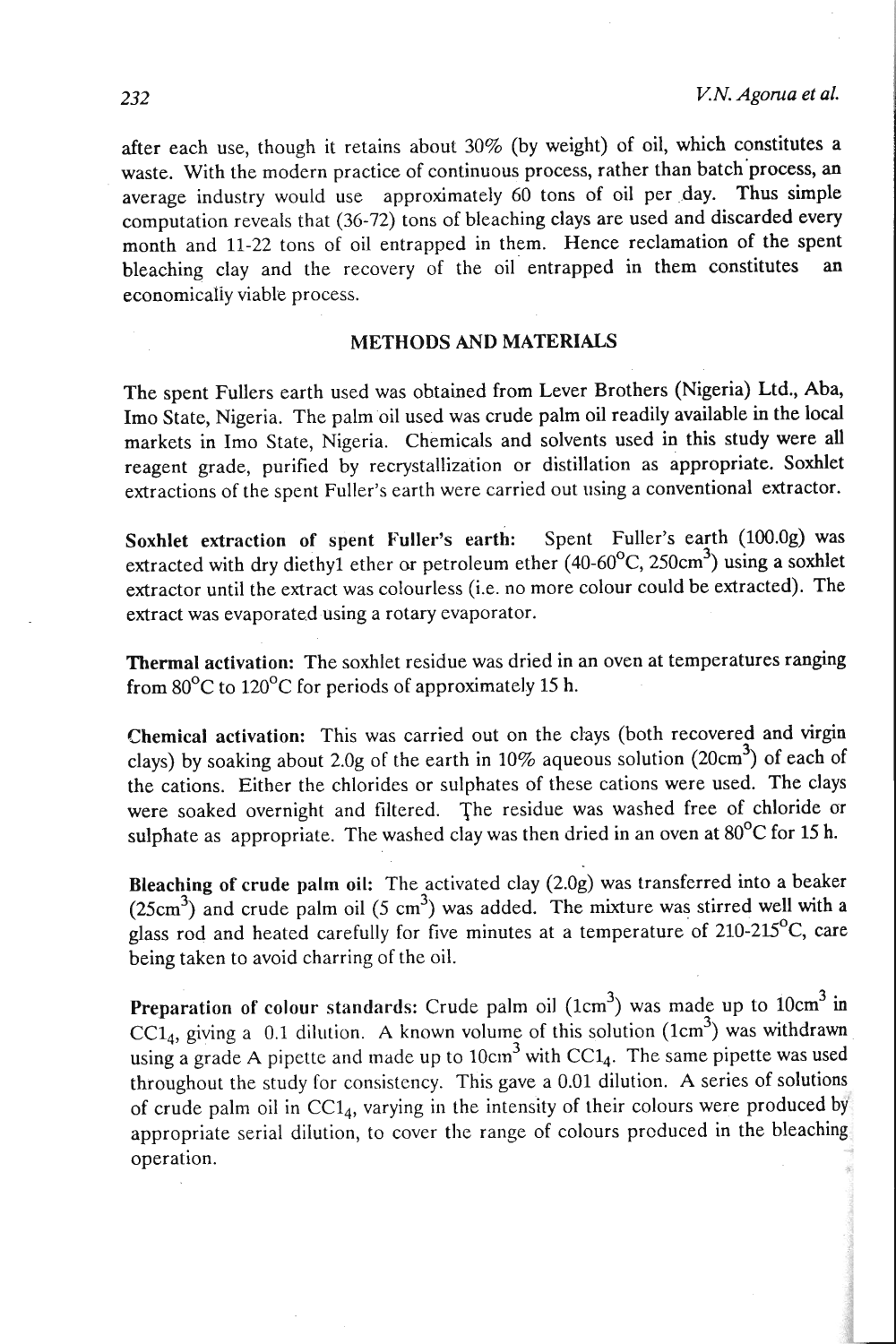after each use, though it retains about 30% (by weight) of oil, which constitutes a waste. With the modern practice of continuous process, rather than batch process, an average industry would use approximately 60 tons of oil per day. Thus simple computation reveals that (36-72) tons of bleaching clays are used and discarded every month and 11-22 tons of oil entrapped in them. Hence reclamation of the spent bleaching clay and the recovery of the oil entrapped in them constitutes an economicaliy viable process.

## **METHODS AND MATERIALS**

The spent Fullers earth used was obtained from Lever Brothers (Nigeria) Ltd., Aba, Imo State, Nigeria. The palm oil used was crude palm oil readily available in the local markets in Imo State, Nigeria. Chemicals and solvents used in this study were all reagent grade, purified by recrystallization or distillation as appropriate. Soxhlet extractions of the spent Fuller's earth were carried out using a conventional extractor.

Soxhlet extraction of spent Fuller's earth: Spent Fuller's earth (100.0g) was extracted with dry diethyl ether or petroleum ether (40-60°C, 250cm<sup>3</sup>) using a soxhlet extractor until the extract was colourless (i.e. no more colour could be extracted). The extract was evaporated using a rotary evaporator.

Thermal activation: The soxhlet residue was dried in an oven at temperatures ranging from  $80^{\circ}$ C to 120<sup>°</sup>C for periods of approximately 15 h.

Chemical activation: This was carried out on the clays (both recovered and virgin clays) by soaking about 2.0g of the earth in 10% aqueous solution (20cm3) of each of the cations. Either the chlorides or sulphates of these cations were used. The clays were soaked overnight and filtered. The residue was washed free of chloride or sulphate as appropriate. The washed clay was then dried in an oven at  $80^{\circ}$ C for 15 h.

Bleaching of crude palm oil: The activated clay (2.0g) was transferred into a beaker  $(25cm<sup>3</sup>)$  and crude palm oil (5 cm<sup>3</sup>) was added. The mixture was stirred well with a glass rod and heated carefully for five minutes at a temperature of  $210-215^{\circ}$ C, care being taken to avoid charring of the oil.

Preparation of colour standards: Crude palm oil  $(1cm<sup>3</sup>)$  was made up to  $10cm<sup>3</sup>$  in  $CC1<sub>4</sub>$ , giving a 0.1 dilution. A known volume of this solution (1cm<sup>3</sup>) was withdrawn using a grade A pipette and made up to  $10 \text{cm}^3$  with CC1<sub>4</sub>. The same pipette was used throughout the study for consistency. This gave a 0.01 dilution. A series of solutions of crude palm oil in  $CC1<sub>4</sub>$ , varying in the intensity of their colours were produced by appropriate serial dilution, to cover the range of colours prcduced in the bleaching operation.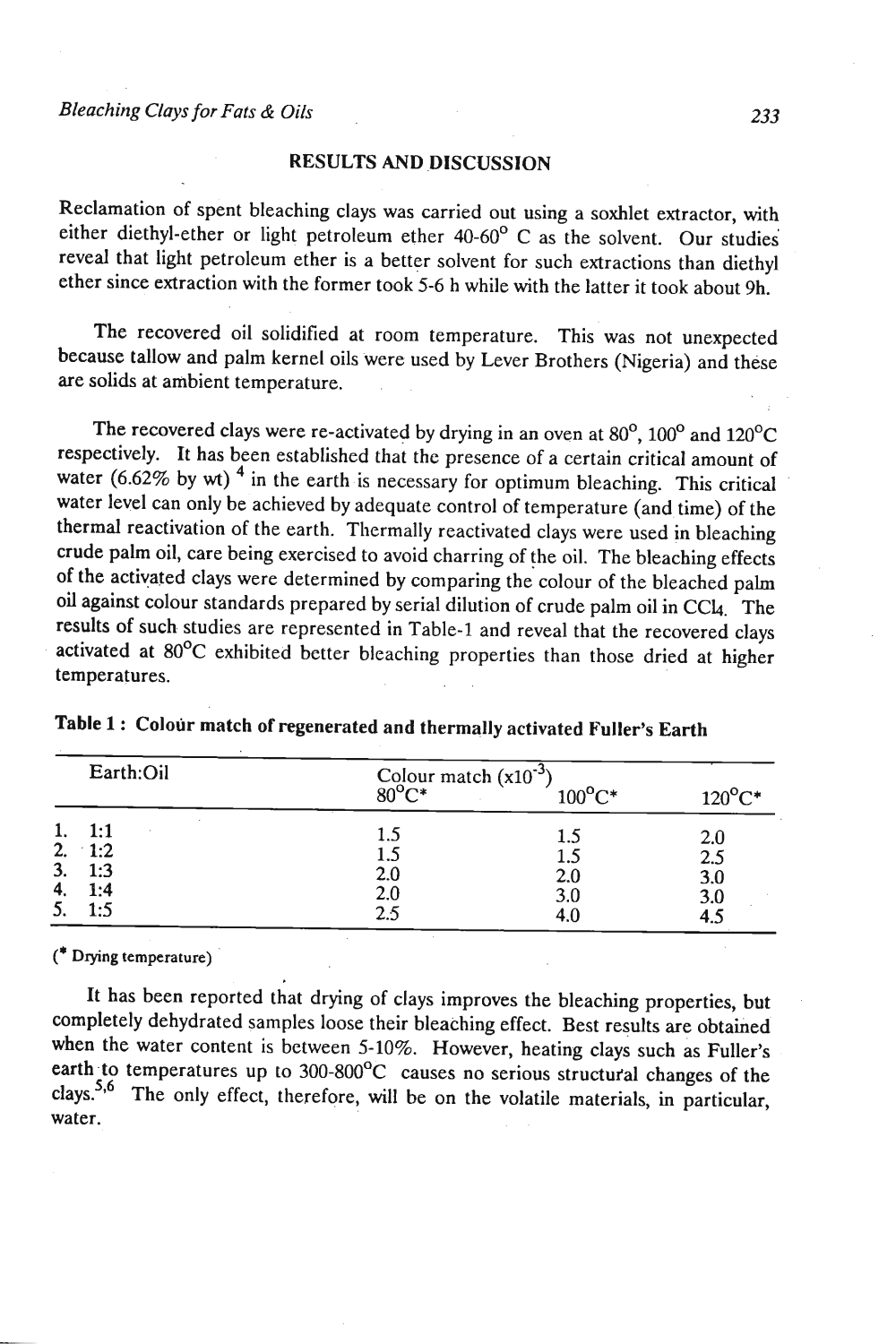#### **RESULTS AND DISCUSSION**

Reclamation of spent bleaching clays was carried out using a soxhlet extractor, with either diethyl-ether or light petroleum ether 40-60' C as the solvent. Our studies reveal that light petroleum ether is a better solvent for such extractions than diethyl ether since extraction with the former took 5-6 h while with the latter it took about 9h.

The recovered oil solidified at room temperature. This was not unexpected because tallow and palm kernel oils were used by Lever Brothers (Nigeria) and these are solids at ambient temperature.

The recovered clays were re-activated by drying in an oven at  $80^{\circ}$ ,  $100^{\circ}$  and  $120^{\circ}$ C respectively. It has been established that the presence of a certain critical amount of water (6.62% by wt)<sup>4</sup> in the earth is necessary for optimum bleaching. This critical water level can only be achieved by adequate control of temperature (and time) of the thermal reactivation of the earth. Thermally reactivated clays were used in bleaching crude palm oil, care being exercised to avoid charring of the oil. The bleaching effects of the activated clays were determined by comparing the colour of the bleached palm oil against colour standards prepared by serial dilution of crude palm oil in CC4. The results of such studies are represented in Table-1 and reveal that the recovered clays activated at 80°C exhibited better bleaching properties than those dried at higher temperatures.

| Earth:Oil                                                       | Colour match $(x10^{-3})$<br>$80^{\circ}$ $\sim$ | $100^{\circ}$ C*         | $120^{\circ}$ C*         |
|-----------------------------------------------------------------|--------------------------------------------------|--------------------------|--------------------------|
| 1:1<br>2.<br>$\cdot$ 1:2<br>3.<br>1:3<br>4.<br>1:4<br>5.<br>1:5 | 1.5<br>1.5<br>2.0<br>2.0<br>2.5                  | 1.5<br>2.0<br>3.0<br>4.0 | 2.0<br>2.5<br>3.0<br>3.0 |

Table 1 : Colour match of regenerated and thermally activated Fuller's Earth

(\* **Drying temperature)** 

It has been reported that drying of clays improves the bleaching properties, but completely dehydrated samples loose their bleaching effect. Best results are obtained when the water content is between 5-10%. However, heating clays such as Fuller's earth to temperatures up to 300-800°C causes no serious structural changes of the clays.<sup>5,6</sup> The only effect, therefore, will be on the volatile materials, in particular, water.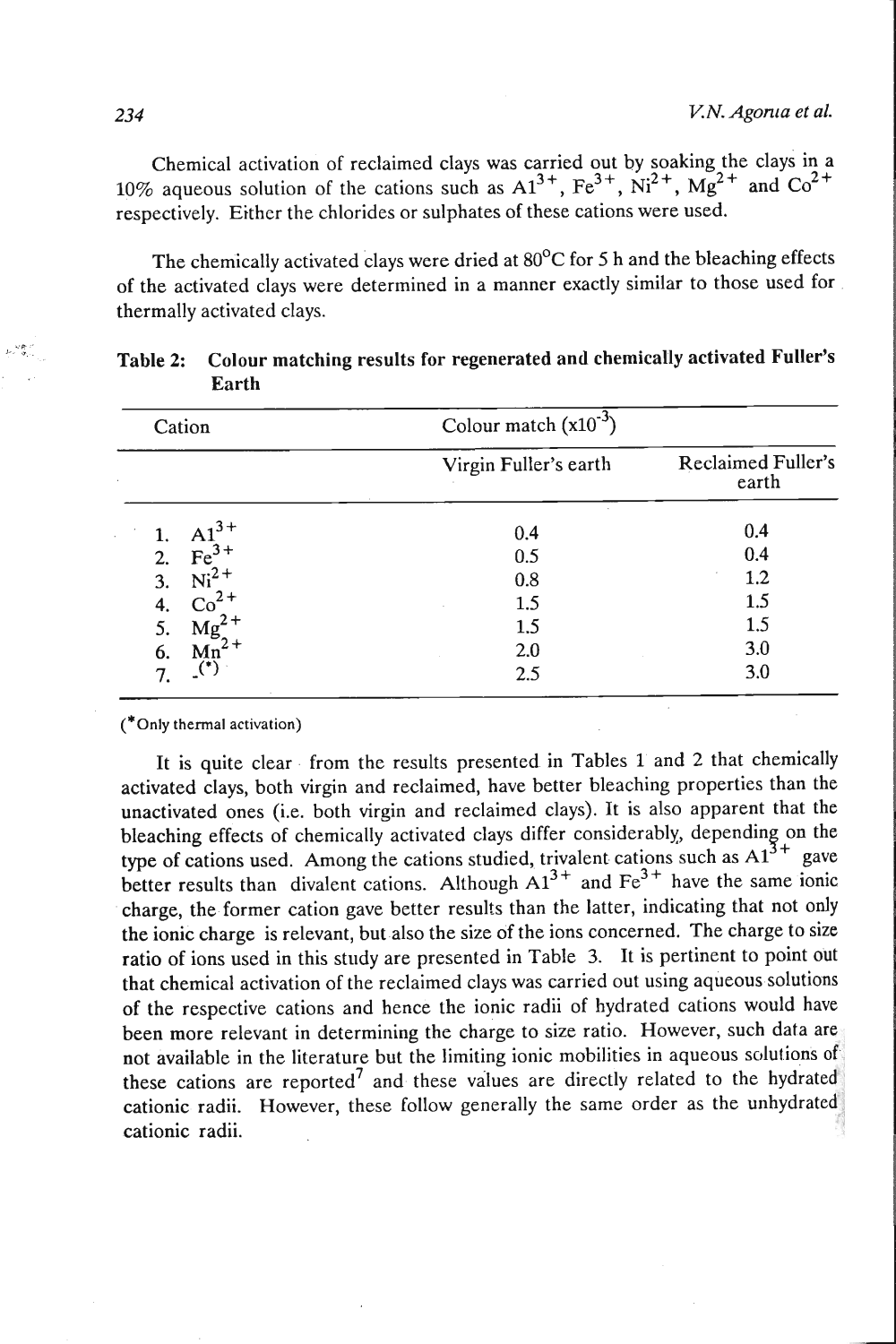Chemical activation of reclaimed clays was carried out by soaking the clays in a 10% aqueous solution of the cations such as  $A1^{3+}$ ,  $Fe^{3+}$ ,  $Ni^{2+}$ ,  $Mg^{2+}$  and  $Co^{2+}$ respectively. Either the chlorides or sulphates of these cations were used.

The chemically activated clays were dried at  $80^{\circ}$ C for 5 h and the bleaching effects of the activated clays were determined in a manner exactly similar to those used for thermally activated clays.

| Cation                   | Colour match $(x10^{-3})$ |                             |
|--------------------------|---------------------------|-----------------------------|
|                          | Virgin Fuller's earth     | Reclaimed Fuller's<br>earth |
| A1<br>1.                 | 0.4                       | 0.4                         |
| $Fe3+$<br>2.             | 0.5                       | 0.4                         |
| $Ni2+$<br>3.             | 0.8                       | 1.2                         |
| $Co2+$                   | 1.5                       | 1.5                         |
| $\frac{4}{5}$<br>Mg      | 1.5                       | 1.5                         |
| 6.<br>Mn <sup>2</sup>    | 2.0                       | 3.0                         |
| $\mathbf{L}^{(*)}$<br>7. | 2.5                       | 3.0                         |

| ال المالي المحمد المحمد المحمد المحمد المحمد المحمد المحمد المحمد المحمد المحمد المحمد المحمد المحمد<br>المحمد المحمد المحمد المحمد المحمد المحمد المحمد المحمد المحمد المحمد المحمد المحمد المحمد المحمد المحمد المحم | Table 2: Colour matching results for regenerated and chemically activated Fuller's |
|------------------------------------------------------------------------------------------------------------------------------------------------------------------------------------------------------------------------|------------------------------------------------------------------------------------|
|                                                                                                                                                                                                                        | Earth                                                                              |

 $(^*$ Only thermal activation)

It is quite clear from the results presented in Tables 1 and 2 that chemically activated clays, both virgin and reclaimed, have better bleaching properties than the unactivated ones (i.e. both virgin and reclaimed clays). It is also apparent that the bleaching effects of chemically activated clays differ considerably, depending on the type of cations used. Among the cations studied, trivalent cations such as  $AA^{3+}$  gave better results than divalent cations. Although  $A1^{3+}$  and  $Fe^{3+}$  have the same ionic charge, the former cation gave better results than the latter, indicating that not only the ionic charge is relevant, but also the size of the ions concerned. The charge to size ratio of ions used in this study are presented in Table 3. It is pertinent to point out that chemical activation of the reclaimed clays was carried out using aqueous solutions of the respective cations and hence the ionic radii of hydrated cations would have been more relevant in determining the charge to size ratio. However, such data are not available in the literature but the limiting ionic mobilities in aqueous solutions of these cations are reported<sup>7</sup> and these values are directly related to the hydrated cationic radii. However, these follow generally the same order as the unhydrated cationic radii.

**CP**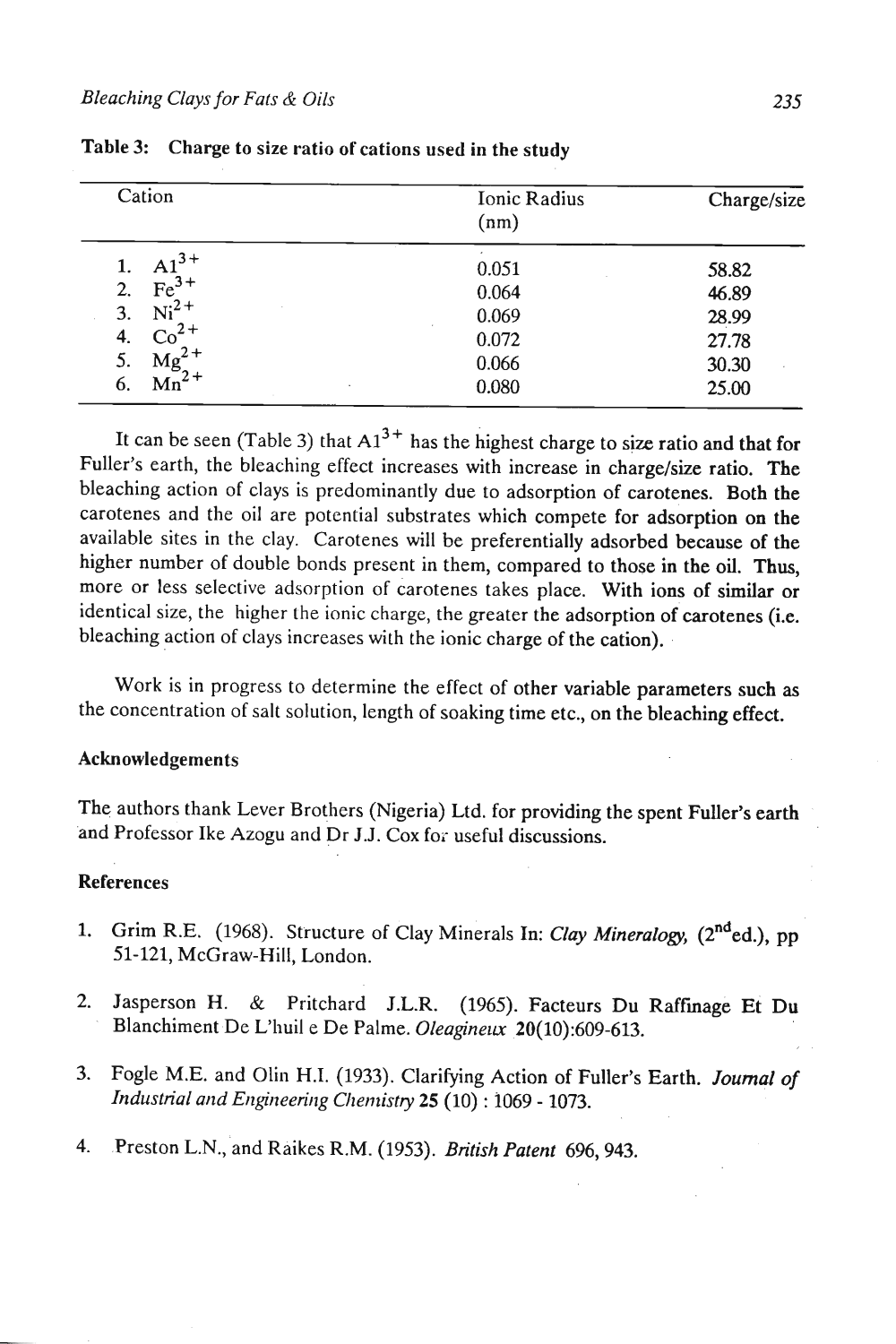| Cation                  | Ionic Radius<br>(nm) | Charge/size |
|-------------------------|----------------------|-------------|
| $A1^{3+}$               | 0.051                | 58.82       |
| $Fe3+$<br>2.            | 0.064                | 46.89       |
| $Ni2+$<br>3.            | 0.069                | 28.99       |
| Co<br>4.                | 0.072                | 27.78       |
| 5.<br>Mg                | 0.066                | 30.30       |
| $\overline{Mn}^2$<br>6. | 0.080<br>٠           | 25.00       |

|  | Table 3: Charge to size ratio of cations used in the study |
|--|------------------------------------------------------------|
|--|------------------------------------------------------------|

It can be seen (Table 3) that  $A1^{3+}$  has the highest charge to size ratio and that for Fuller's earth, the bleaching effect increases with increase in charge/size ratio. The bleaching action of clays is predominantly due to adsorption of carotenes. Both the carotenes and the oil are potential substrates which compete for adsorption on the available sites in the clay. Carotenes will be preferentially adsorbed because of the higher number of double bonds present in them, compared to those in the oil. Thus, more or less selective adsorption of carotenes takes place. With ions of similar or identical size, the higher the ionic charge, the greater the adsorption of carotenes (i.e. bleaching action of clays increases with the ionic charge of the cation).

Work is in progress to determine the effect of other variable parameters such as the concentration of salt solution, length of soaking time etc., on the bleaching effect.

## Acknowledgements

The authors thank Lever Brothers (Nigeria) Ltd. for providing the spent Fuller's earth .ad Professor Ike Azogu and Dr J.J. Cox for useful discussions.

#### References

- 1. Grim R.E. (1968). Structure of Clay Minerals In: *Clay Mineralogy*, (2<sup>nd</sup>ed.), pp 51-121, McGraw-Hill, London.
- 2. Jasperson H. & Pritchard J.L.R. (1965). Facteurs Du Raffmage Et Du Blanchiment De L'huil e De Palme. *Oleagineux* 20(10):609-613.
- 3. Fogle M.E. and Olin H.I. (1933). Clarifying Action of Fuller's Earth. Journal of Industrial and Engineering Chemistry 25 (10) : 1069 - 1073.
- 4. Preston L.N., and Raikes R.M. (1953). *British Patent 696, 943.*